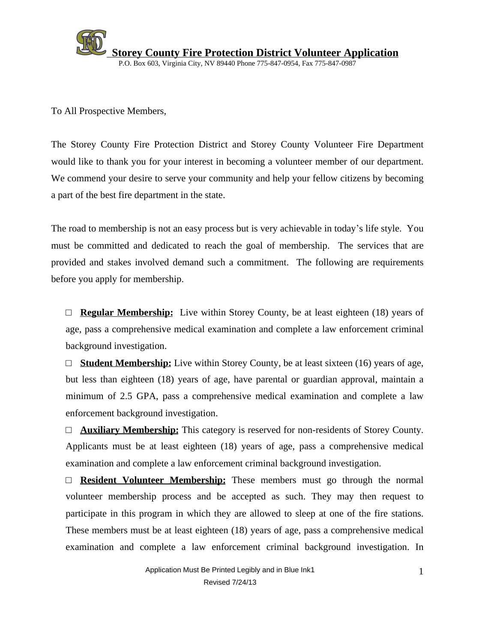

To All Prospective Members,

The Storey County Fire Protection District and Storey County Volunteer Fire Department would like to thank you for your interest in becoming a volunteer member of our department. We commend your desire to serve your community and help your fellow citizens by becoming a part of the best fire department in the state.

The road to membership is not an easy process but is very achievable in today's life style. You must be committed and dedicated to reach the goal of membership. The services that are provided and stakes involved demand such a commitment. The following are requirements before you apply for membership.

 $\Box$  **Regular Membership:** Live within Storey County, be at least eighteen (18) years of age, pass a comprehensive medical examination and complete a law enforcement criminal background investigation.

 $\Box$  **Student Membership:** Live within Storey County, be at least sixteen (16) years of age, but less than eighteen (18) years of age, have parental or guardian approval, maintain a minimum of 2.5 GPA, pass a comprehensive medical examination and complete a law enforcement background investigation.

□ **Auxiliary Membership:** This category is reserved for non-residents of Storey County. Applicants must be at least eighteen (18) years of age, pass a comprehensive medical examination and complete a law enforcement criminal background investigation.

□ **Resident Volunteer Membership:** These members must go through the normal volunteer membership process and be accepted as such. They may then request to participate in this program in which they are allowed to sleep at one of the fire stations. These members must be at least eighteen (18) years of age, pass a comprehensive medical examination and complete a law enforcement criminal background investigation. In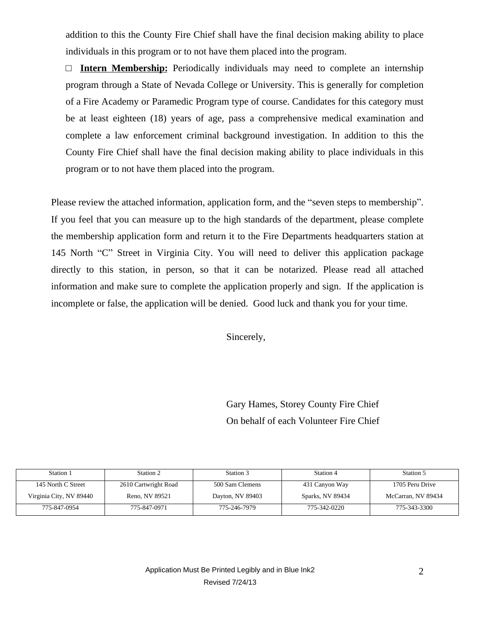addition to this the County Fire Chief shall have the final decision making ability to place individuals in this program or to not have them placed into the program.

□ **Intern Membership:** Periodically individuals may need to complete an internship program through a State of Nevada College or University. This is generally for completion of a Fire Academy or Paramedic Program type of course. Candidates for this category must be at least eighteen (18) years of age, pass a comprehensive medical examination and complete a law enforcement criminal background investigation. In addition to this the County Fire Chief shall have the final decision making ability to place individuals in this program or to not have them placed into the program.

Please review the attached information, application form, and the "seven steps to membership". If you feel that you can measure up to the high standards of the department, please complete the membership application form and return it to the Fire Departments headquarters station at 145 North "C" Street in Virginia City. You will need to deliver this application package directly to this station, in person, so that it can be notarized. Please read all attached information and make sure to complete the application properly and sign. If the application is incomplete or false, the application will be denied. Good luck and thank you for your time.

Sincerely,

Gary Hames, Storey County Fire Chief On behalf of each Volunteer Fire Chief

| Station 1               | Station 2            | Station 3        | Station 4        | Station 5          |
|-------------------------|----------------------|------------------|------------------|--------------------|
| 145 North C Street      | 2610 Cartwright Road | 500 Sam Clemens  | 431 Canyon Way   | 1705 Peru Drive    |
| Virginia City, NV 89440 | Reno, NV 89521       | Dayton, NV 89403 | Sparks, NV 89434 | McCarran, NV 89434 |
| 775-847-0954            | 775-847-0971         | 775-246-7979     | 775-342-0220     | 775-343-3300       |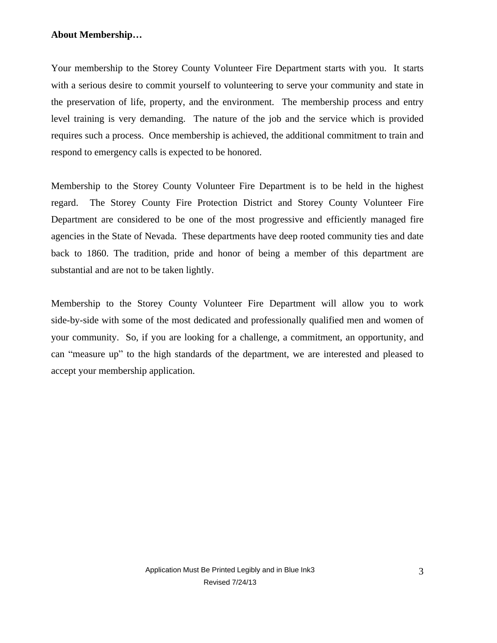### **About Membership…**

Your membership to the Storey County Volunteer Fire Department starts with you. It starts with a serious desire to commit yourself to volunteering to serve your community and state in the preservation of life, property, and the environment. The membership process and entry level training is very demanding. The nature of the job and the service which is provided requires such a process. Once membership is achieved, the additional commitment to train and respond to emergency calls is expected to be honored.

Membership to the Storey County Volunteer Fire Department is to be held in the highest regard. The Storey County Fire Protection District and Storey County Volunteer Fire Department are considered to be one of the most progressive and efficiently managed fire agencies in the State of Nevada. These departments have deep rooted community ties and date back to 1860. The tradition, pride and honor of being a member of this department are substantial and are not to be taken lightly.

Membership to the Storey County Volunteer Fire Department will allow you to work side-by-side with some of the most dedicated and professionally qualified men and women of your community. So, if you are looking for a challenge, a commitment, an opportunity, and can "measure up" to the high standards of the department, we are interested and pleased to accept your membership application.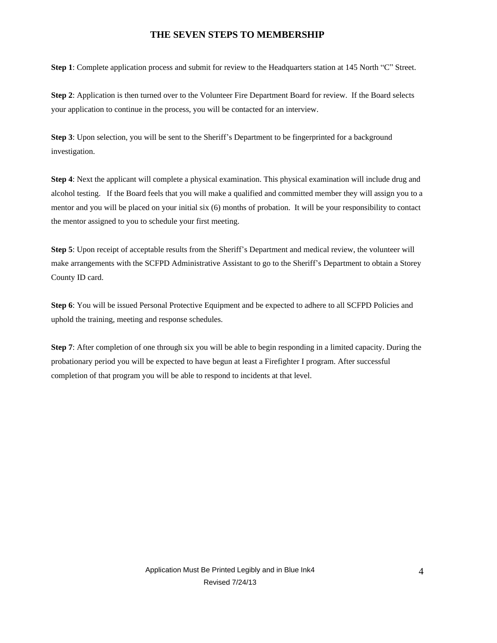#### **THE SEVEN STEPS TO MEMBERSHIP**

**Step 1**: Complete application process and submit for review to the Headquarters station at 145 North "C" Street.

**Step 2**: Application is then turned over to the Volunteer Fire Department Board for review. If the Board selects your application to continue in the process, you will be contacted for an interview.

**Step 3**: Upon selection, you will be sent to the Sheriff's Department to be fingerprinted for a background investigation.

**Step 4**: Next the applicant will complete a physical examination. This physical examination will include drug and alcohol testing. If the Board feels that you will make a qualified and committed member they will assign you to a mentor and you will be placed on your initial six (6) months of probation. It will be your responsibility to contact the mentor assigned to you to schedule your first meeting.

**Step 5**: Upon receipt of acceptable results from the Sheriff's Department and medical review, the volunteer will make arrangements with the SCFPD Administrative Assistant to go to the Sheriff's Department to obtain a Storey County ID card.

**Step 6**: You will be issued Personal Protective Equipment and be expected to adhere to all SCFPD Policies and uphold the training, meeting and response schedules.

**Step 7**: After completion of one through six you will be able to begin responding in a limited capacity. During the probationary period you will be expected to have begun at least a Firefighter I program. After successful completion of that program you will be able to respond to incidents at that level.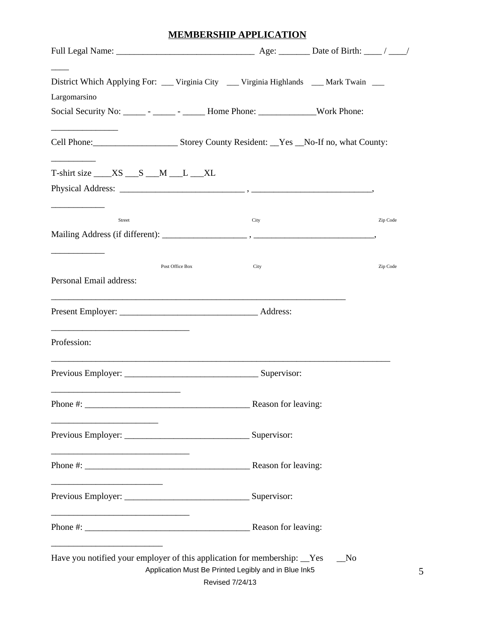# **MEMBERSHIP APPLICATION**

| District Which Applying For: ___ Virginia City ___ Virginia Highlands ___ Mark Twain ___<br>Largomarsino |                                                             |          |
|----------------------------------------------------------------------------------------------------------|-------------------------------------------------------------|----------|
| Social Security No: ______ - _____ - ______ Home Phone: _______________Work Phone:                       |                                                             |          |
| Cell Phone: Storey County Resident: Nes _No-If no, what County:                                          |                                                             |          |
| $T\text{-}shirt size \_\_\text{XS} \_\_\text{S} \_\text{M} \_\text{L} \_\text{XL}$                       |                                                             |          |
|                                                                                                          |                                                             |          |
| Street                                                                                                   | City                                                        | Zip Code |
|                                                                                                          |                                                             |          |
| Post Office Box<br>Personal Email address:                                                               | City                                                        | Zip Code |
|                                                                                                          |                                                             |          |
| Profession:                                                                                              |                                                             |          |
|                                                                                                          |                                                             |          |
| Phone #:                                                                                                 | Reason for leaving:                                         |          |
|                                                                                                          |                                                             |          |
|                                                                                                          |                                                             |          |
|                                                                                                          |                                                             |          |
|                                                                                                          |                                                             |          |
| Have you notified your employer of this application for membership: Ves                                  | No.<br>Application Must Be Printed Legibly and in Blue Ink5 |          |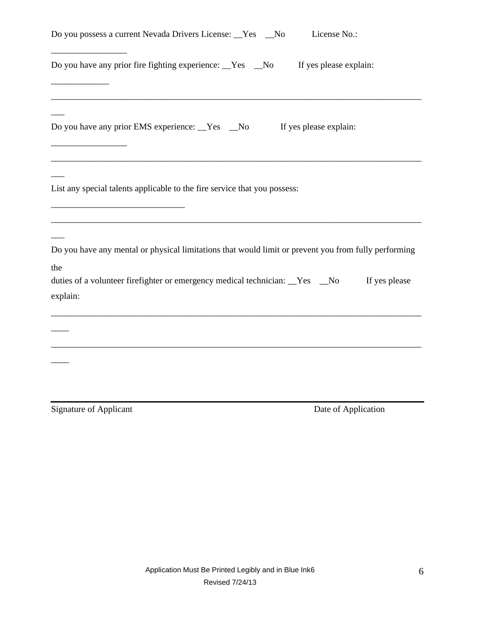| Do you possess a current Nevada Drivers License: _Yes _No                                                   | License No.:           |
|-------------------------------------------------------------------------------------------------------------|------------------------|
| Do you have any prior fire fighting experience: Ves _No                                                     | If yes please explain: |
| Do you have any prior EMS experience: Yes No                                                                | If yes please explain: |
| List any special talents applicable to the fire service that you possess:                                   |                        |
| Do you have any mental or physical limitations that would limit or prevent you from fully performing<br>the |                        |
| duties of a volunteer firefighter or emergency medical technician: _Yes _No<br>explain:                     | If yes please          |
|                                                                                                             |                        |
|                                                                                                             |                        |
| <b>Signature of Applicant</b>                                                                               | Date of Application    |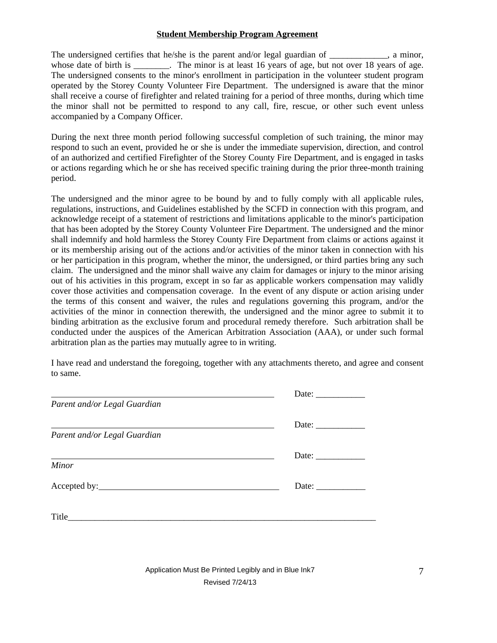#### **Student Membership Program Agreement**

The undersigned certifies that he/she is the parent and/or legal guardian of \_\_\_\_\_\_\_\_\_\_, a minor, whose date of birth is \_\_\_\_\_\_\_. The minor is at least 16 years of age, but not over 18 years of age. The undersigned consents to the minor's enrollment in participation in the volunteer student program operated by the Storey County Volunteer Fire Department. The undersigned is aware that the minor shall receive a course of firefighter and related training for a period of three months, during which time the minor shall not be permitted to respond to any call, fire, rescue, or other such event unless accompanied by a Company Officer.

During the next three month period following successful completion of such training, the minor may respond to such an event, provided he or she is under the immediate supervision, direction, and control of an authorized and certified Firefighter of the Storey County Fire Department, and is engaged in tasks or actions regarding which he or she has received specific training during the prior three-month training period.

The undersigned and the minor agree to be bound by and to fully comply with all applicable rules, regulations, instructions, and Guidelines established by the SCFD in connection with this program, and acknowledge receipt of a statement of restrictions and limitations applicable to the minor's participation that has been adopted by the Storey County Volunteer Fire Department. The undersigned and the minor shall indemnify and hold harmless the Storey County Fire Department from claims or actions against it or its membership arising out of the actions and/or activities of the minor taken in connection with his or her participation in this program, whether the minor, the undersigned, or third parties bring any such claim. The undersigned and the minor shall waive any claim for damages or injury to the minor arising out of his activities in this program, except in so far as applicable workers compensation may validly cover those activities and compensation coverage. In the event of any dispute or action arising under the terms of this consent and waiver, the rules and regulations governing this program, and/or the activities of the minor in connection therewith, the undersigned and the minor agree to submit it to binding arbitration as the exclusive forum and procedural remedy therefore. Such arbitration shall be conducted under the auspices of the American Arbitration Association (AAA), or under such formal arbitration plan as the parties may mutually agree to in writing.

I have read and understand the foregoing, together with any attachments thereto, and agree and consent to same.

|                              | Date: $\frac{1}{\sqrt{1-\frac{1}{2}}\cdot\frac{1}{2}}$   |
|------------------------------|----------------------------------------------------------|
| Parent and/or Legal Guardian |                                                          |
|                              | Date: $\frac{1}{\sqrt{1-\frac{1}{2}} \cdot \frac{1}{2}}$ |
| Parent and/or Legal Guardian |                                                          |
|                              | Date: $\_\_$                                             |
| Minor                        |                                                          |
|                              | Date: $\_\_$                                             |
| Title $\qquad \qquad$ Title  |                                                          |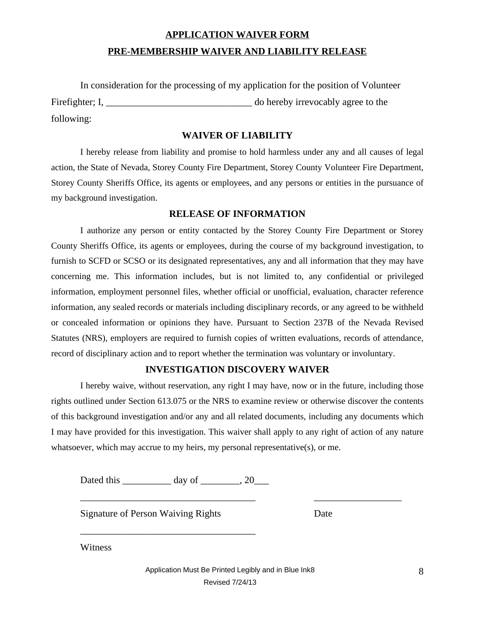# **APPLICATION WAIVER FORM PRE-MEMBERSHIP WAIVER AND LIABILITY RELEASE**

|                       | In consideration for the processing of my application for the position of Volunteer |
|-----------------------|-------------------------------------------------------------------------------------|
| Fire fighter; $I_{1}$ | do hereby irrevocably agree to the                                                  |
| following:            |                                                                                     |

### **WAIVER OF LIABILITY**

I hereby release from liability and promise to hold harmless under any and all causes of legal action, the State of Nevada, Storey County Fire Department, Storey County Volunteer Fire Department, Storey County Sheriffs Office, its agents or employees, and any persons or entities in the pursuance of my background investigation.

### **RELEASE OF INFORMATION**

I authorize any person or entity contacted by the Storey County Fire Department or Storey County Sheriffs Office, its agents or employees, during the course of my background investigation, to furnish to SCFD or SCSO or its designated representatives, any and all information that they may have concerning me. This information includes, but is not limited to, any confidential or privileged information, employment personnel files, whether official or unofficial, evaluation, character reference information, any sealed records or materials including disciplinary records, or any agreed to be withheld or concealed information or opinions they have. Pursuant to Section 237B of the Nevada Revised Statutes (NRS), employers are required to furnish copies of written evaluations, records of attendance, record of disciplinary action and to report whether the termination was voluntary or involuntary.

#### **INVESTIGATION DISCOVERY WAIVER**

I hereby waive, without reservation, any right I may have, now or in the future, including those rights outlined under Section 613.075 or the NRS to examine review or otherwise discover the contents of this background investigation and/or any and all related documents, including any documents which I may have provided for this investigation. This waiver shall apply to any right of action of any nature whatsoever, which may accrue to my heirs, my personal representative $(s)$ , or me.

\_\_\_\_\_\_\_\_\_\_\_\_\_\_\_\_\_\_\_\_\_\_\_\_\_\_\_\_\_\_\_\_\_\_\_\_ \_\_\_\_\_\_\_\_\_\_\_\_\_\_\_\_\_\_

Dated this \_\_\_\_\_\_\_\_\_\_\_\_ day of \_\_\_\_\_\_\_, 20\_\_\_

\_\_\_\_\_\_\_\_\_\_\_\_\_\_\_\_\_\_\_\_\_\_\_\_\_\_\_\_\_\_\_\_\_\_\_\_

Signature of Person Waiving Rights Date

Witness

Application Must Be Printed Legibly and in Blue Ink8 8 Revised 7/24/13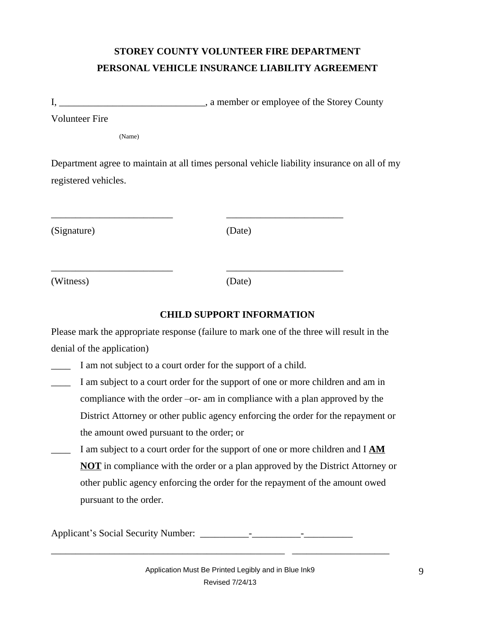# **STOREY COUNTY VOLUNTEER FIRE DEPARTMENT PERSONAL VEHICLE INSURANCE LIABILITY AGREEMENT**

I, \_\_\_\_\_\_\_\_\_\_\_\_\_\_\_\_\_\_\_\_\_\_\_\_\_\_\_\_\_\_\_\_, a member or employee of the Storey County Volunteer Fire

(Name)

Department agree to maintain at all times personal vehicle liability insurance on all of my registered vehicles.

\_\_\_\_\_\_\_\_\_\_\_\_\_\_\_\_\_\_\_\_\_\_\_\_\_ \_\_\_\_\_\_\_\_\_\_\_\_\_\_\_\_\_\_\_\_\_\_\_\_

\_\_\_\_\_\_\_\_\_\_\_\_\_\_\_\_\_\_\_\_\_\_\_\_\_ \_\_\_\_\_\_\_\_\_\_\_\_\_\_\_\_\_\_\_\_\_\_\_\_

(Signature) (Date)

(Witness) (Date)

### **CHILD SUPPORT INFORMATION**

Please mark the appropriate response (failure to mark one of the three will result in the denial of the application)

\_\_\_\_ I am not subject to a court order for the support of a child.

- I am subject to a court order for the support of one or more children and am in compliance with the order –or- am in compliance with a plan approved by the District Attorney or other public agency enforcing the order for the repayment or the amount owed pursuant to the order; or
- I am subject to a court order for the support of one or more children and I **AM NOT** in compliance with the order or a plan approved by the District Attorney or other public agency enforcing the order for the repayment of the amount owed pursuant to the order.

Applicant's Social Security Number: \_\_\_\_\_\_\_\_\_\_-\_\_\_\_\_\_\_\_\_\_-\_\_\_\_\_\_\_\_\_\_

\_\_\_\_\_\_\_\_\_\_\_\_\_\_\_\_\_\_\_\_\_\_\_\_\_\_\_\_\_\_\_\_\_\_\_\_\_\_\_\_\_\_\_\_\_\_\_\_ \_\_\_\_\_\_\_\_\_\_\_\_\_\_\_\_\_\_\_\_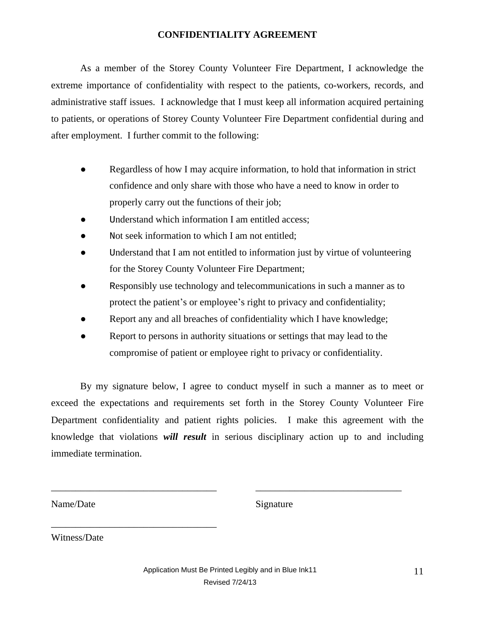### **CONFIDENTIALITY AGREEMENT**

As a member of the Storey County Volunteer Fire Department, I acknowledge the extreme importance of confidentiality with respect to the patients, co-workers, records, and administrative staff issues. I acknowledge that I must keep all information acquired pertaining to patients, or operations of Storey County Volunteer Fire Department confidential during and after employment. I further commit to the following:

- Regardless of how I may acquire information, to hold that information in strict confidence and only share with those who have a need to know in order to properly carry out the functions of their job;
- Understand which information I am entitled access;
- Not seek information to which I am not entitled;
- Understand that I am not entitled to information just by virtue of volunteering for the Storey County Volunteer Fire Department;
- Responsibly use technology and telecommunications in such a manner as to protect the patient's or employee's right to privacy and confidentiality;
- Report any and all breaches of confidentiality which I have knowledge;
- Report to persons in authority situations or settings that may lead to the compromise of patient or employee right to privacy or confidentiality.

By my signature below, I agree to conduct myself in such a manner as to meet or exceed the expectations and requirements set forth in the Storey County Volunteer Fire Department confidentiality and patient rights policies. I make this agreement with the knowledge that violations *will result* in serious disciplinary action up to and including immediate termination.

Name/Date Signature

Witness/Date

\_\_\_\_\_\_\_\_\_\_\_\_\_\_\_\_\_\_\_\_\_\_\_\_\_\_\_\_\_\_\_\_\_\_

Application Must Be Printed Legibly and in Blue Ink11 11 11 11 Revised 7/24/13

\_\_\_\_\_\_\_\_\_\_\_\_\_\_\_\_\_\_\_\_\_\_\_\_\_\_\_\_\_\_\_\_\_\_ \_\_\_\_\_\_\_\_\_\_\_\_\_\_\_\_\_\_\_\_\_\_\_\_\_\_\_\_\_\_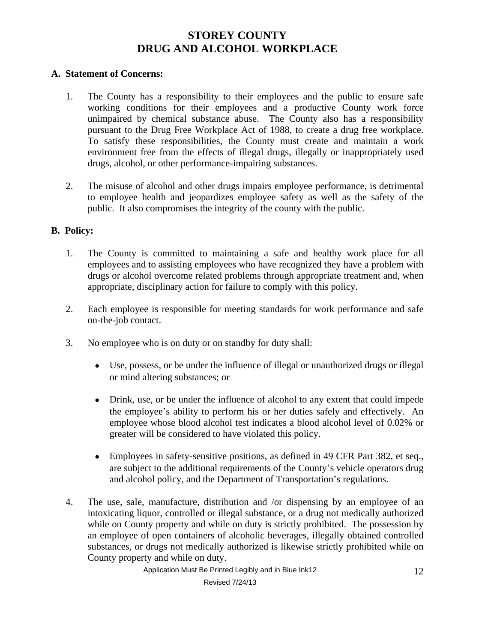## **STOREY COUNTY DRUG AND ALCOHOL WORKPLACE**

### **A. Statement of Concerns:**

- 1. The County has a responsibility to their employees and the public to ensure safe working conditions for their employees and a productive County work force unimpaired by chemical substance abuse. The County also has a responsibility pursuant to the Drug Free Workplace Act of 1988, to create a drug free workplace. To satisfy these responsibilities, the County must create and maintain a work environment free from the effects of illegal drugs, illegally or inappropriately used drugs, alcohol, or other performance-impairing substances.
- 2. The misuse of alcohol and other drugs impairs employee performance, is detrimental to employee health and jeopardizes employee safety as well as the safety of the public. It also compromises the integrity of the county with the public.

### **B. Policy:**

- 1. The County is committed to maintaining a safe and healthy work place for all employees and to assisting employees who have recognized they have a problem with drugs or alcohol overcome related problems through appropriate treatment and, when appropriate, disciplinary action for failure to comply with this policy.
- 2. Each employee is responsible for meeting standards for work performance and safe on-the-job contact.
- 3. No employee who is on duty or on standby for duty shall:
	- Use, possess, or be under the influence of illegal or unauthorized drugs or illegal or mind altering substances; or
	- Drink, use, or be under the influence of alcohol to any extent that could impede the employee's ability to perform his or her duties safely and effectively. An employee whose blood alcohol test indicates a blood alcohol level of 0.02% or greater will be considered to have violated this policy.
	- Employees in safety-sensitive positions, as defined in 49 CFR Part 382, et seq., are subject to the additional requirements of the County's vehicle operators drug and alcohol policy, and the Department of Transportation's regulations.
- 4. The use, sale, manufacture, distribution and /or dispensing by an employee of an intoxicating liquor, controlled or illegal substance, or a drug not medically authorized while on County property and while on duty is strictly prohibited. The possession by an employee of open containers of alcoholic beverages, illegally obtained controlled substances, or drugs not medically authorized is likewise strictly prohibited while on County property and while on duty.

Application Must Be Printed Legibly and in Blue Ink12 12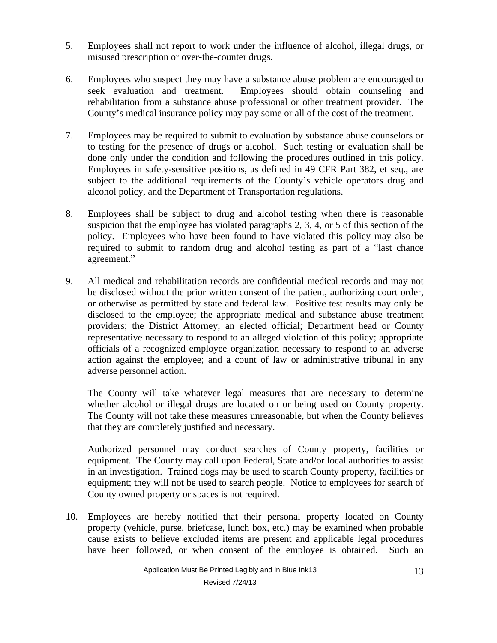- 5. Employees shall not report to work under the influence of alcohol, illegal drugs, or misused prescription or over-the-counter drugs.
- 6. Employees who suspect they may have a substance abuse problem are encouraged to seek evaluation and treatment. Employees should obtain counseling and rehabilitation from a substance abuse professional or other treatment provider. The County's medical insurance policy may pay some or all of the cost of the treatment.
- 7. Employees may be required to submit to evaluation by substance abuse counselors or to testing for the presence of drugs or alcohol. Such testing or evaluation shall be done only under the condition and following the procedures outlined in this policy. Employees in safety-sensitive positions, as defined in 49 CFR Part 382, et seq., are subject to the additional requirements of the County's vehicle operators drug and alcohol policy, and the Department of Transportation regulations.
- 8. Employees shall be subject to drug and alcohol testing when there is reasonable suspicion that the employee has violated paragraphs 2, 3, 4, or 5 of this section of the policy. Employees who have been found to have violated this policy may also be required to submit to random drug and alcohol testing as part of a "last chance agreement."
- 9. All medical and rehabilitation records are confidential medical records and may not be disclosed without the prior written consent of the patient, authorizing court order, or otherwise as permitted by state and federal law. Positive test results may only be disclosed to the employee; the appropriate medical and substance abuse treatment providers; the District Attorney; an elected official; Department head or County representative necessary to respond to an alleged violation of this policy; appropriate officials of a recognized employee organization necessary to respond to an adverse action against the employee; and a count of law or administrative tribunal in any adverse personnel action.

The County will take whatever legal measures that are necessary to determine whether alcohol or illegal drugs are located on or being used on County property. The County will not take these measures unreasonable, but when the County believes that they are completely justified and necessary.

Authorized personnel may conduct searches of County property, facilities or equipment. The County may call upon Federal, State and/or local authorities to assist in an investigation. Trained dogs may be used to search County property, facilities or equipment; they will not be used to search people. Notice to employees for search of County owned property or spaces is not required.

10. Employees are hereby notified that their personal property located on County property (vehicle, purse, briefcase, lunch box, etc.) may be examined when probable cause exists to believe excluded items are present and applicable legal procedures have been followed, or when consent of the employee is obtained. Such an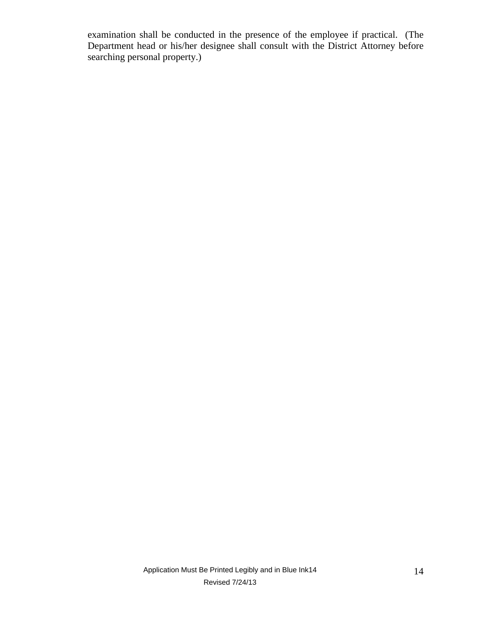examination shall be conducted in the presence of the employee if practical. (The Department head or his/her designee shall consult with the District Attorney before searching personal property.)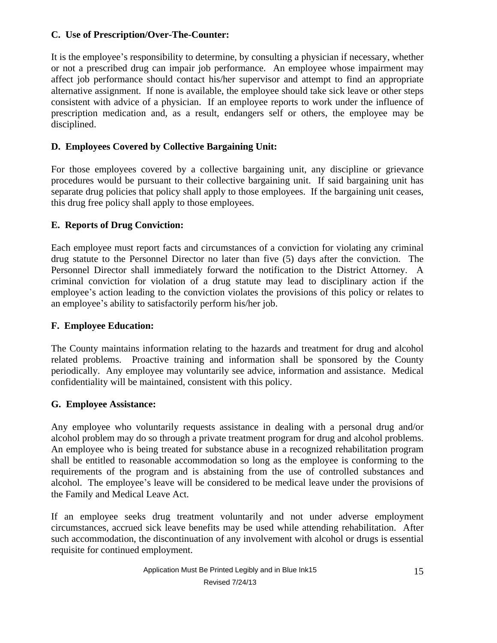### **C. Use of Prescription/Over-The-Counter:**

It is the employee's responsibility to determine, by consulting a physician if necessary, whether or not a prescribed drug can impair job performance. An employee whose impairment may affect job performance should contact his/her supervisor and attempt to find an appropriate alternative assignment. If none is available, the employee should take sick leave or other steps consistent with advice of a physician. If an employee reports to work under the influence of prescription medication and, as a result, endangers self or others, the employee may be disciplined.

## **D. Employees Covered by Collective Bargaining Unit:**

For those employees covered by a collective bargaining unit, any discipline or grievance procedures would be pursuant to their collective bargaining unit. If said bargaining unit has separate drug policies that policy shall apply to those employees. If the bargaining unit ceases, this drug free policy shall apply to those employees.

## **E. Reports of Drug Conviction:**

Each employee must report facts and circumstances of a conviction for violating any criminal drug statute to the Personnel Director no later than five (5) days after the conviction. The Personnel Director shall immediately forward the notification to the District Attorney. A criminal conviction for violation of a drug statute may lead to disciplinary action if the employee's action leading to the conviction violates the provisions of this policy or relates to an employee's ability to satisfactorily perform his/her job.

### **F. Employee Education:**

The County maintains information relating to the hazards and treatment for drug and alcohol related problems. Proactive training and information shall be sponsored by the County periodically. Any employee may voluntarily see advice, information and assistance. Medical confidentiality will be maintained, consistent with this policy.

### **G. Employee Assistance:**

Any employee who voluntarily requests assistance in dealing with a personal drug and/or alcohol problem may do so through a private treatment program for drug and alcohol problems. An employee who is being treated for substance abuse in a recognized rehabilitation program shall be entitled to reasonable accommodation so long as the employee is conforming to the requirements of the program and is abstaining from the use of controlled substances and alcohol. The employee's leave will be considered to be medical leave under the provisions of the Family and Medical Leave Act.

If an employee seeks drug treatment voluntarily and not under adverse employment circumstances, accrued sick leave benefits may be used while attending rehabilitation. After such accommodation, the discontinuation of any involvement with alcohol or drugs is essential requisite for continued employment.

Application Must Be Printed Legibly and in Blue Ink15 15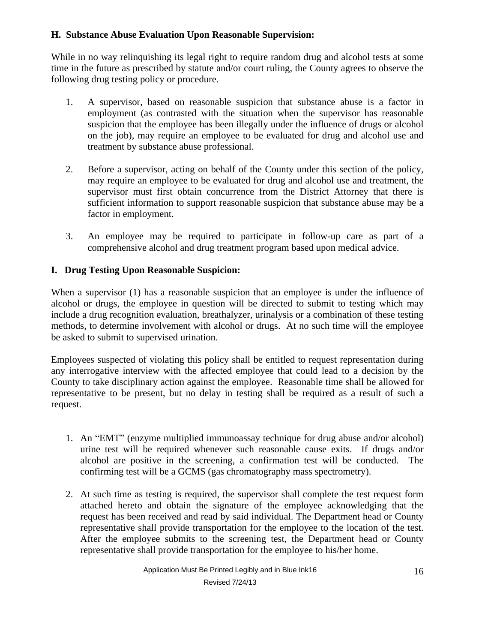## **H. Substance Abuse Evaluation Upon Reasonable Supervision:**

While in no way relinquishing its legal right to require random drug and alcohol tests at some time in the future as prescribed by statute and/or court ruling, the County agrees to observe the following drug testing policy or procedure.

- 1. A supervisor, based on reasonable suspicion that substance abuse is a factor in employment (as contrasted with the situation when the supervisor has reasonable suspicion that the employee has been illegally under the influence of drugs or alcohol on the job), may require an employee to be evaluated for drug and alcohol use and treatment by substance abuse professional.
- 2. Before a supervisor, acting on behalf of the County under this section of the policy, may require an employee to be evaluated for drug and alcohol use and treatment, the supervisor must first obtain concurrence from the District Attorney that there is sufficient information to support reasonable suspicion that substance abuse may be a factor in employment.
- 3. An employee may be required to participate in follow-up care as part of a comprehensive alcohol and drug treatment program based upon medical advice.

## **I. Drug Testing Upon Reasonable Suspicion:**

When a supervisor (1) has a reasonable suspicion that an employee is under the influence of alcohol or drugs, the employee in question will be directed to submit to testing which may include a drug recognition evaluation, breathalyzer, urinalysis or a combination of these testing methods, to determine involvement with alcohol or drugs. At no such time will the employee be asked to submit to supervised urination.

Employees suspected of violating this policy shall be entitled to request representation during any interrogative interview with the affected employee that could lead to a decision by the County to take disciplinary action against the employee. Reasonable time shall be allowed for representative to be present, but no delay in testing shall be required as a result of such a request.

- 1. An "EMT" (enzyme multiplied immunoassay technique for drug abuse and/or alcohol) urine test will be required whenever such reasonable cause exits. If drugs and/or alcohol are positive in the screening, a confirmation test will be conducted. The confirming test will be a GCMS (gas chromatography mass spectrometry).
- 2. At such time as testing is required, the supervisor shall complete the test request form attached hereto and obtain the signature of the employee acknowledging that the request has been received and read by said individual. The Department head or County representative shall provide transportation for the employee to the location of the test. After the employee submits to the screening test, the Department head or County representative shall provide transportation for the employee to his/her home.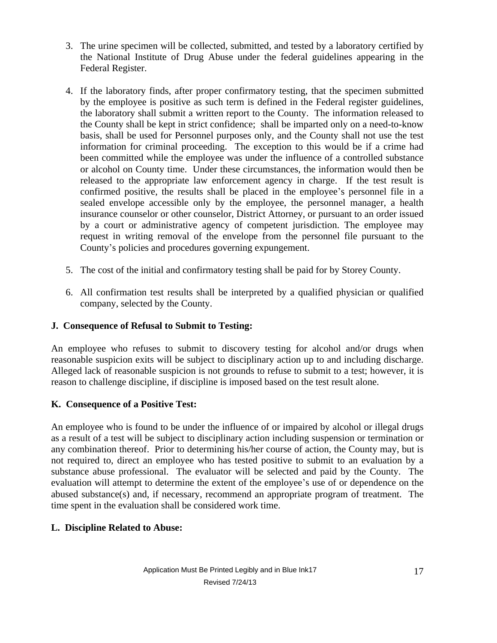- 3. The urine specimen will be collected, submitted, and tested by a laboratory certified by the National Institute of Drug Abuse under the federal guidelines appearing in the Federal Register.
- 4. If the laboratory finds, after proper confirmatory testing, that the specimen submitted by the employee is positive as such term is defined in the Federal register guidelines, the laboratory shall submit a written report to the County. The information released to the County shall be kept in strict confidence; shall be imparted only on a need-to-know basis, shall be used for Personnel purposes only, and the County shall not use the test information for criminal proceeding. The exception to this would be if a crime had been committed while the employee was under the influence of a controlled substance or alcohol on County time. Under these circumstances, the information would then be released to the appropriate law enforcement agency in charge. If the test result is confirmed positive, the results shall be placed in the employee's personnel file in a sealed envelope accessible only by the employee, the personnel manager, a health insurance counselor or other counselor, District Attorney, or pursuant to an order issued by a court or administrative agency of competent jurisdiction. The employee may request in writing removal of the envelope from the personnel file pursuant to the County's policies and procedures governing expungement.
- 5. The cost of the initial and confirmatory testing shall be paid for by Storey County.
- 6. All confirmation test results shall be interpreted by a qualified physician or qualified company, selected by the County.

## **J. Consequence of Refusal to Submit to Testing:**

An employee who refuses to submit to discovery testing for alcohol and/or drugs when reasonable suspicion exits will be subject to disciplinary action up to and including discharge. Alleged lack of reasonable suspicion is not grounds to refuse to submit to a test; however, it is reason to challenge discipline, if discipline is imposed based on the test result alone.

## **K. Consequence of a Positive Test:**

An employee who is found to be under the influence of or impaired by alcohol or illegal drugs as a result of a test will be subject to disciplinary action including suspension or termination or any combination thereof. Prior to determining his/her course of action, the County may, but is not required to, direct an employee who has tested positive to submit to an evaluation by a substance abuse professional. The evaluator will be selected and paid by the County. The evaluation will attempt to determine the extent of the employee's use of or dependence on the abused substance(s) and, if necessary, recommend an appropriate program of treatment. The time spent in the evaluation shall be considered work time.

## **L. Discipline Related to Abuse:**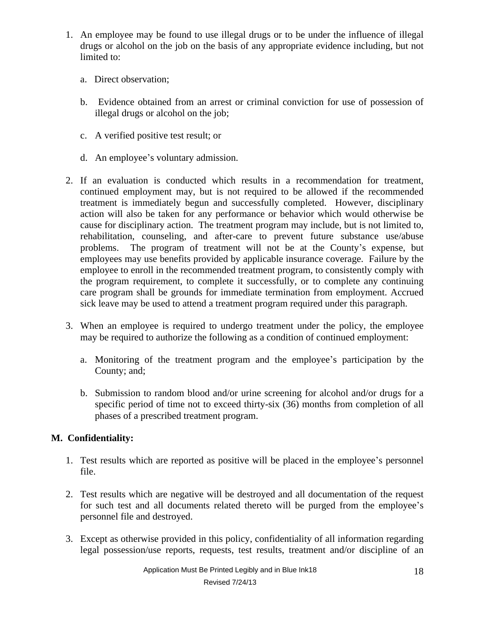- 1. An employee may be found to use illegal drugs or to be under the influence of illegal drugs or alcohol on the job on the basis of any appropriate evidence including, but not limited to:
	- a. Direct observation;
	- b. Evidence obtained from an arrest or criminal conviction for use of possession of illegal drugs or alcohol on the job;
	- c. A verified positive test result; or
	- d. An employee's voluntary admission.
- 2. If an evaluation is conducted which results in a recommendation for treatment, continued employment may, but is not required to be allowed if the recommended treatment is immediately begun and successfully completed. However, disciplinary action will also be taken for any performance or behavior which would otherwise be cause for disciplinary action. The treatment program may include, but is not limited to, rehabilitation, counseling, and after-care to prevent future substance use/abuse problems. The program of treatment will not be at the County's expense, but employees may use benefits provided by applicable insurance coverage. Failure by the employee to enroll in the recommended treatment program, to consistently comply with the program requirement, to complete it successfully, or to complete any continuing care program shall be grounds for immediate termination from employment. Accrued sick leave may be used to attend a treatment program required under this paragraph.
- 3. When an employee is required to undergo treatment under the policy, the employee may be required to authorize the following as a condition of continued employment:
	- a. Monitoring of the treatment program and the employee's participation by the County; and;
	- b. Submission to random blood and/or urine screening for alcohol and/or drugs for a specific period of time not to exceed thirty-six (36) months from completion of all phases of a prescribed treatment program.

## **M. Confidentiality:**

- 1. Test results which are reported as positive will be placed in the employee's personnel file.
- 2. Test results which are negative will be destroyed and all documentation of the request for such test and all documents related thereto will be purged from the employee's personnel file and destroyed.
- 3. Except as otherwise provided in this policy, confidentiality of all information regarding legal possession/use reports, requests, test results, treatment and/or discipline of an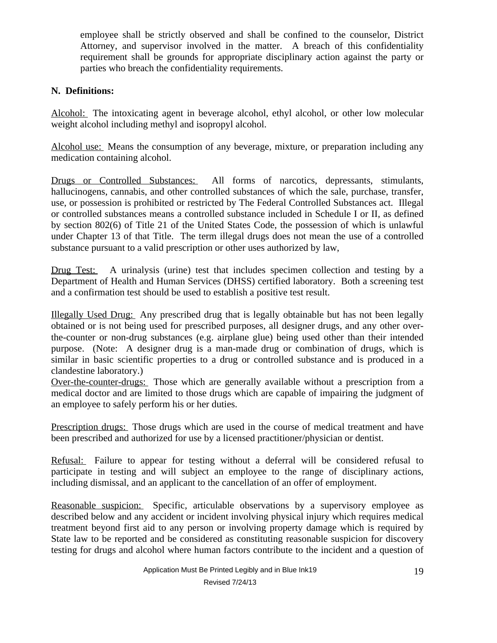employee shall be strictly observed and shall be confined to the counselor, District Attorney, and supervisor involved in the matter. A breach of this confidentiality requirement shall be grounds for appropriate disciplinary action against the party or parties who breach the confidentiality requirements.

## **N. Definitions:**

Alcohol: The intoxicating agent in beverage alcohol, ethyl alcohol, or other low molecular weight alcohol including methyl and isopropyl alcohol.

Alcohol use: Means the consumption of any beverage, mixture, or preparation including any medication containing alcohol.

Drugs or Controlled Substances: All forms of narcotics, depressants, stimulants, hallucinogens, cannabis, and other controlled substances of which the sale, purchase, transfer, use, or possession is prohibited or restricted by The Federal Controlled Substances act. Illegal or controlled substances means a controlled substance included in Schedule I or II, as defined by section 802(6) of Title 21 of the United States Code, the possession of which is unlawful under Chapter 13 of that Title. The term illegal drugs does not mean the use of a controlled substance pursuant to a valid prescription or other uses authorized by law,

Drug Test: A urinalysis (urine) test that includes specimen collection and testing by a Department of Health and Human Services (DHSS) certified laboratory. Both a screening test and a confirmation test should be used to establish a positive test result.

Illegally Used Drug: Any prescribed drug that is legally obtainable but has not been legally obtained or is not being used for prescribed purposes, all designer drugs, and any other overthe-counter or non-drug substances (e.g. airplane glue) being used other than their intended purpose. (Note: A designer drug is a man-made drug or combination of drugs, which is similar in basic scientific properties to a drug or controlled substance and is produced in a clandestine laboratory.)

Over-the-counter-drugs: Those which are generally available without a prescription from a medical doctor and are limited to those drugs which are capable of impairing the judgment of an employee to safely perform his or her duties.

Prescription drugs: Those drugs which are used in the course of medical treatment and have been prescribed and authorized for use by a licensed practitioner/physician or dentist.

Refusal: Failure to appear for testing without a deferral will be considered refusal to participate in testing and will subject an employee to the range of disciplinary actions, including dismissal, and an applicant to the cancellation of an offer of employment.

Reasonable suspicion: Specific, articulable observations by a supervisory employee as described below and any accident or incident involving physical injury which requires medical treatment beyond first aid to any person or involving property damage which is required by State law to be reported and be considered as constituting reasonable suspicion for discovery testing for drugs and alcohol where human factors contribute to the incident and a question of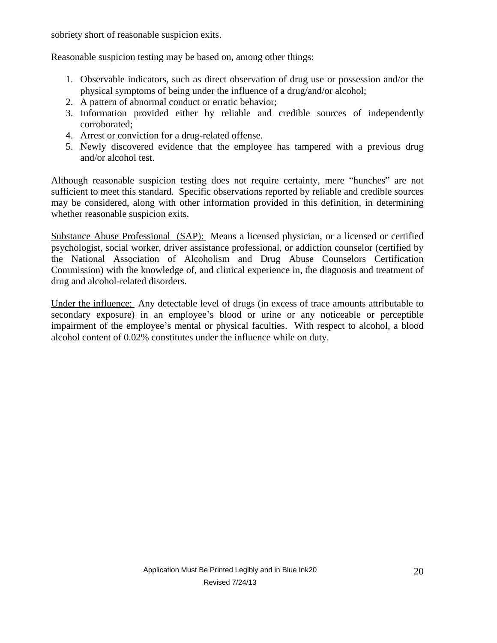sobriety short of reasonable suspicion exits.

Reasonable suspicion testing may be based on, among other things:

- 1. Observable indicators, such as direct observation of drug use or possession and/or the physical symptoms of being under the influence of a drug/and/or alcohol;
- 2. A pattern of abnormal conduct or erratic behavior;
- 3. Information provided either by reliable and credible sources of independently corroborated;
- 4. Arrest or conviction for a drug-related offense.
- 5. Newly discovered evidence that the employee has tampered with a previous drug and/or alcohol test.

Although reasonable suspicion testing does not require certainty, mere "hunches" are not sufficient to meet this standard. Specific observations reported by reliable and credible sources may be considered, along with other information provided in this definition, in determining whether reasonable suspicion exits.

Substance Abuse Professional (SAP): Means a licensed physician, or a licensed or certified psychologist, social worker, driver assistance professional, or addiction counselor (certified by the National Association of Alcoholism and Drug Abuse Counselors Certification Commission) with the knowledge of, and clinical experience in, the diagnosis and treatment of drug and alcohol-related disorders.

Under the influence: Any detectable level of drugs (in excess of trace amounts attributable to secondary exposure) in an employee's blood or urine or any noticeable or perceptible impairment of the employee's mental or physical faculties. With respect to alcohol, a blood alcohol content of 0.02% constitutes under the influence while on duty.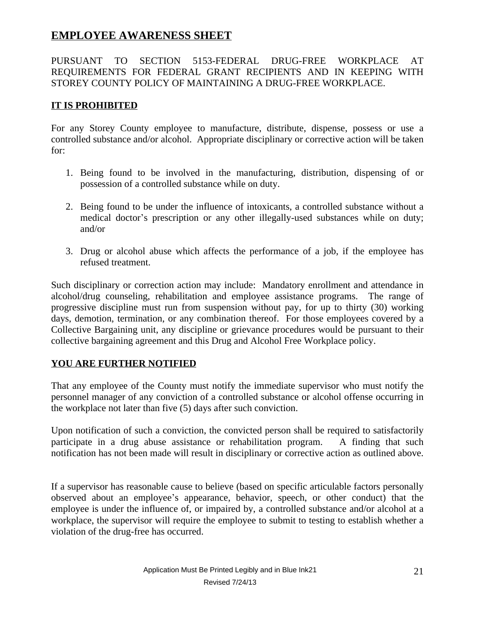## **EMPLOYEE AWARENESS SHEET**

## PURSUANT TO SECTION 5153-FEDERAL DRUG-FREE WORKPLACE AT REQUIREMENTS FOR FEDERAL GRANT RECIPIENTS AND IN KEEPING WITH STOREY COUNTY POLICY OF MAINTAINING A DRUG-FREE WORKPLACE.

## **IT IS PROHIBITED**

For any Storey County employee to manufacture, distribute, dispense, possess or use a controlled substance and/or alcohol. Appropriate disciplinary or corrective action will be taken for:

- 1. Being found to be involved in the manufacturing, distribution, dispensing of or possession of a controlled substance while on duty.
- 2. Being found to be under the influence of intoxicants, a controlled substance without a medical doctor's prescription or any other illegally-used substances while on duty; and/or
- 3. Drug or alcohol abuse which affects the performance of a job, if the employee has refused treatment.

Such disciplinary or correction action may include: Mandatory enrollment and attendance in alcohol/drug counseling, rehabilitation and employee assistance programs. The range of progressive discipline must run from suspension without pay, for up to thirty (30) working days, demotion, termination, or any combination thereof. For those employees covered by a Collective Bargaining unit, any discipline or grievance procedures would be pursuant to their collective bargaining agreement and this Drug and Alcohol Free Workplace policy.

## **YOU ARE FURTHER NOTIFIED**

That any employee of the County must notify the immediate supervisor who must notify the personnel manager of any conviction of a controlled substance or alcohol offense occurring in the workplace not later than five (5) days after such conviction.

Upon notification of such a conviction, the convicted person shall be required to satisfactorily participate in a drug abuse assistance or rehabilitation program. A finding that such notification has not been made will result in disciplinary or corrective action as outlined above.

If a supervisor has reasonable cause to believe (based on specific articulable factors personally observed about an employee's appearance, behavior, speech, or other conduct) that the employee is under the influence of, or impaired by, a controlled substance and/or alcohol at a workplace, the supervisor will require the employee to submit to testing to establish whether a violation of the drug-free has occurred.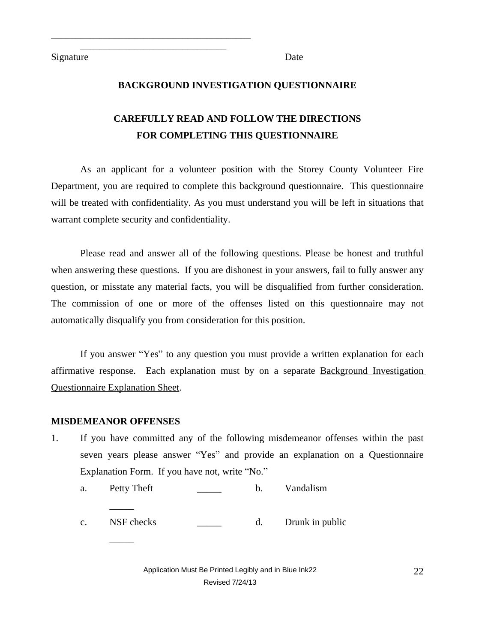Signature Date

\_\_\_\_\_\_\_\_\_\_\_\_\_\_\_\_\_\_\_\_\_\_\_\_\_\_\_\_\_\_\_\_\_\_\_\_\_\_\_\_\_ \_\_\_\_\_\_\_\_\_\_\_\_\_\_\_\_\_\_\_\_\_\_\_\_\_\_\_\_\_\_

### **BACKGROUND INVESTIGATION QUESTIONNAIRE**

# **CAREFULLY READ AND FOLLOW THE DIRECTIONS FOR COMPLETING THIS QUESTIONNAIRE**

As an applicant for a volunteer position with the Storey County Volunteer Fire Department, you are required to complete this background questionnaire. This questionnaire will be treated with confidentiality. As you must understand you will be left in situations that warrant complete security and confidentiality.

Please read and answer all of the following questions. Please be honest and truthful when answering these questions. If you are dishonest in your answers, fail to fully answer any question, or misstate any material facts, you will be disqualified from further consideration. The commission of one or more of the offenses listed on this questionnaire may not automatically disqualify you from consideration for this position.

If you answer "Yes" to any question you must provide a written explanation for each affirmative response. Each explanation must by on a separate Background Investigation Questionnaire Explanation Sheet.

#### **MISDEMEANOR OFFENSES**

 $\overline{\phantom{a}}$ 

 $\overline{\phantom{a}}$ 

1. If you have committed any of the following misdemeanor offenses within the past seven years please answer "Yes" and provide an explanation on a Questionnaire Explanation Form. If you have not, write "No."

a. Petty Theft b. Vandalism

c. NSF checks \_\_\_\_\_\_ d. Drunk in public

Application Must Be Printed Legibly and in Blue Ink22  $22$ Revised 7/24/13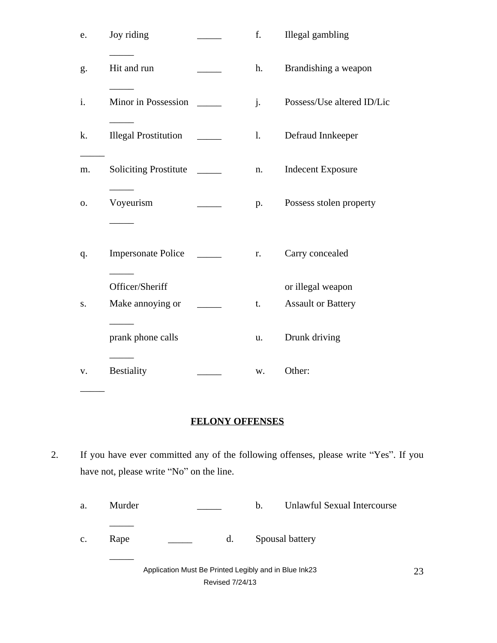| Joy riding                   |                  | f.             | Illegal gambling           |
|------------------------------|------------------|----------------|----------------------------|
| Hit and run                  |                  | h.             | Brandishing a weapon       |
| Minor in Possession          |                  | $\mathbf{i}$ . | Possess/Use altered ID/Lic |
| <b>Illegal Prostitution</b>  |                  | 1.             | Defraud Innkeeper          |
| <b>Soliciting Prostitute</b> | $\sim$           | n.             | <b>Indecent Exposure</b>   |
| Voyeurism                    |                  | p.             | Possess stolen property    |
| <b>Impersonate Police</b>    |                  | r.             | Carry concealed            |
| Officer/Sheriff              |                  |                | or illegal weapon          |
|                              |                  |                | <b>Assault or Battery</b>  |
| prank phone calls            |                  | u.             | Drunk driving              |
| <b>Bestiality</b>            |                  | w.             | Other:                     |
|                              | Make annoying or |                | t.                         |

## **FELONY OFFENSES**

2. If you have ever committed any of the following offenses, please write "Yes". If you have not, please write "No" on the line.

| Murder |  | Unlawful Sexual Intercourse |
|--------|--|-----------------------------|
|--------|--|-----------------------------|

c. Rape  $\qquad \qquad \qquad$  d. Spousal battery

 $\overline{\phantom{a}}$ 

 $\overline{\phantom{a}}$ 

Application Must Be Printed Legibly and in Blue Ink23 23 Revised 7/24/13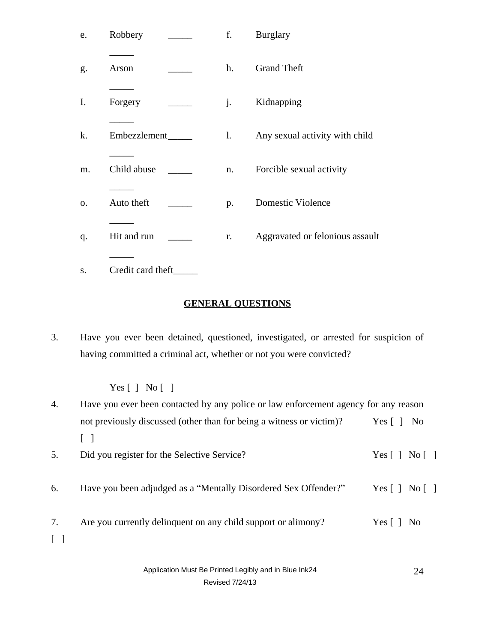| e. | Robbery                                   | f. | <b>Burglary</b>                 |
|----|-------------------------------------------|----|---------------------------------|
| g. | Arson                                     | h. | <b>Grand Theft</b>              |
| I. | Forgery                                   | j. | Kidnapping                      |
| k. | Embezzlement_                             | 1. | Any sexual activity with child  |
| m. | Child abuse                               | n. | Forcible sexual activity        |
| 0. | Auto theft                                | p. | <b>Domestic Violence</b>        |
| q. | Hit and run                               | r. | Aggravated or felonious assault |
|    | $\sim$ $\sim$ $\sim$<br>$\sim$ 1.1 $\sim$ |    |                                 |

s. Credit card theft\_\_\_\_\_\_\_

## **GENERAL QUESTIONS**

3. Have you ever been detained, questioned, investigated, or arrested for suspicion of having committed a criminal act, whether or not you were convicted?

## Yes [ ] No [ ]

4. Have you ever been contacted by any police or law enforcement agency for any reason not previously discussed (other than for being a witness or victim)? Yes [ ] No [ ] 5. Did you register for the Selective Service? Yes [ ] No [ ] 6. Have you been adjudged as a "Mentally Disordered Sex Offender?" Yes [ ] No [ ] 7. Are you currently delinquent on any child support or alimony? Yes [ ] No [ ]

> Application Must Be Printed Legibly and in Blue Ink24 24 Revised 7/24/13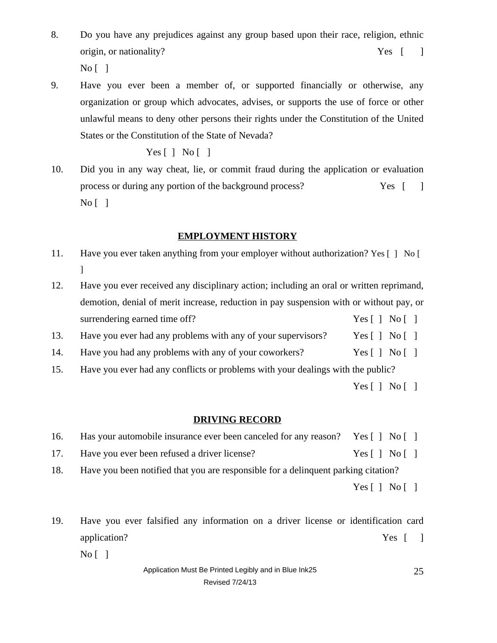- 8. Do you have any prejudices against any group based upon their race, religion, ethnic origin, or nationality? The Ves [ ]  $No [ ]$
- 9. Have you ever been a member of, or supported financially or otherwise, any organization or group which advocates, advises, or supports the use of force or other unlawful means to deny other persons their rights under the Constitution of the United States or the Constitution of the State of Nevada?

Yes  $\lceil$  | No  $\lceil$  |

10. Did you in any way cheat, lie, or commit fraud during the application or evaluation process or during any portion of the background process? Yes [ ]  $\overline{N_0}$ [ ]

### **EMPLOYMENT HISTORY**

- 11. Have you ever taken anything from your employer without authorization? Yes [ ] No [ ]
- 12. Have you ever received any disciplinary action; including an oral or written reprimand, demotion, denial of merit increase, reduction in pay suspension with or without pay, or surrendering earned time off? Yes [ ] No [ ]
- 13. Have you ever had any problems with any of your supervisors? Yes [ ] No [ ]
- 14. Have you had any problems with any of your coworkers? Yes [ ] No [ ]
- 15. Have you ever had any conflicts or problems with your dealings with the public?
	- Yes  $[ \ ]$  No  $[ \ ]$

### **DRIVING RECORD**

- 16. Has your automobile insurance ever been canceled for any reason? Yes [ ] No [ ]
- 17. Have you ever been refused a driver license? Yes [ ] No [ ]
- 18. Have you been notified that you are responsible for a delinquent parking citation?
	- Yes  $[$   $]$  No  $[$   $]$
- 19. Have you ever falsified any information on a driver license or identification card application? Yes [ ]

 $\overline{N_0}$  | |

#### Application Must Be Printed Legibly and in Blue Ink25 25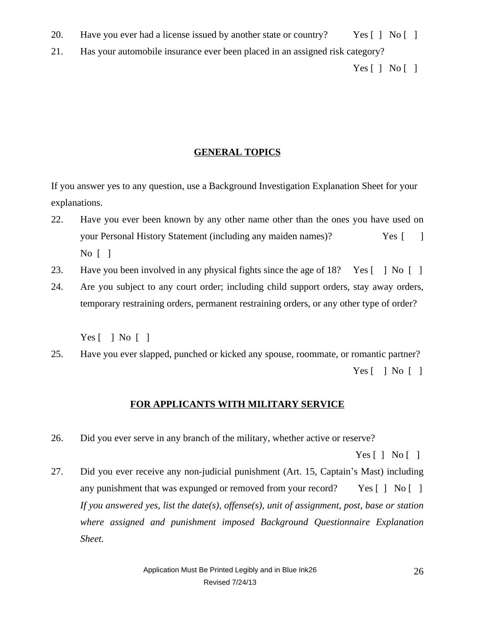- 20. Have you ever had a license issued by another state or country? Yes [ ] No [ ]
- 21. Has your automobile insurance ever been placed in an assigned risk category?

Yes  $[ \ ]$  No  $[ \ ]$ 

### **GENERAL TOPICS**

If you answer yes to any question, use a Background Investigation Explanation Sheet for your explanations.

- 22. Have you ever been known by any other name other than the ones you have used on your Personal History Statement (including any maiden names)? Yes [12] No [ ]
- 23. Have you been involved in any physical fights since the age of 18? Yes [ ] No [ ]
- 24. Are you subject to any court order; including child support orders, stay away orders, temporary restraining orders, permanent restraining orders, or any other type of order?

 $Yes [ ] No [ ]$ 

25. Have you ever slapped, punched or kicked any spouse, roommate, or romantic partner? Yes  $\lceil$   $\rceil$  No  $\lceil$   $\rceil$ 

### **FOR APPLICANTS WITH MILITARY SERVICE**

26. Did you ever serve in any branch of the military, whether active or reserve?

Yes  $[$   $]$  No  $[$   $]$ 

27. Did you ever receive any non-judicial punishment (Art. 15, Captain's Mast) including any punishment that was expunged or removed from your record? Yes [ ] No [ ] *If you answered yes, list the date(s), offense(s), unit of assignment, post, base or station where assigned and punishment imposed Background Questionnaire Explanation Sheet*.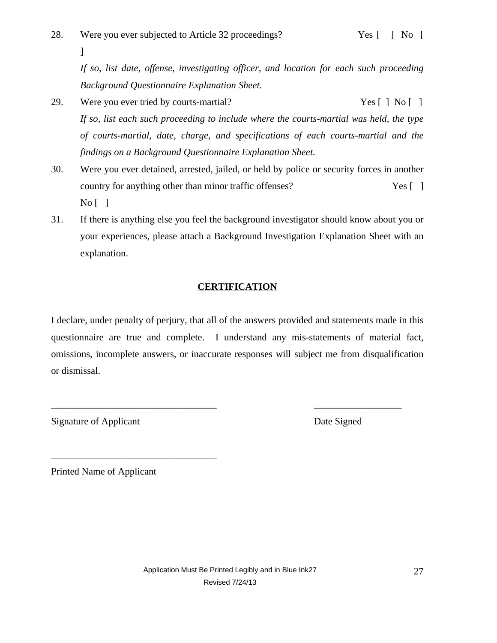*If so, list date, offense, investigating officer, and location for each such proceeding Background Questionnaire Explanation Sheet.*

- 29. Were you ever tried by courts-martial? Yes [ ] No [ ] *If so, list each such proceeding to include where the courts-martial was held, the type of courts-martial, date, charge, and specifications of each courts-martial and the findings on a Background Questionnaire Explanation Sheet.*
- 30. Were you ever detained, arrested, jailed, or held by police or security forces in another country for anything other than minor traffic offenses? Yes [ ]  $\overline{N_0}$ [ ]
- 31. If there is anything else you feel the background investigator should know about you or your experiences, please attach a Background Investigation Explanation Sheet with an explanation.

## **CERTIFICATION**

I declare, under penalty of perjury, that all of the answers provided and statements made in this questionnaire are true and complete. I understand any mis-statements of material fact, omissions, incomplete answers, or inaccurate responses will subject me from disqualification or dismissal.

\_\_\_\_\_\_\_\_\_\_\_\_\_\_\_\_\_\_\_\_\_\_\_\_\_\_\_\_\_\_\_\_\_\_ \_\_\_\_\_\_\_\_\_\_\_\_\_\_\_\_\_\_

Signature of Applicant Date Signed

]

Printed Name of Applicant

\_\_\_\_\_\_\_\_\_\_\_\_\_\_\_\_\_\_\_\_\_\_\_\_\_\_\_\_\_\_\_\_\_\_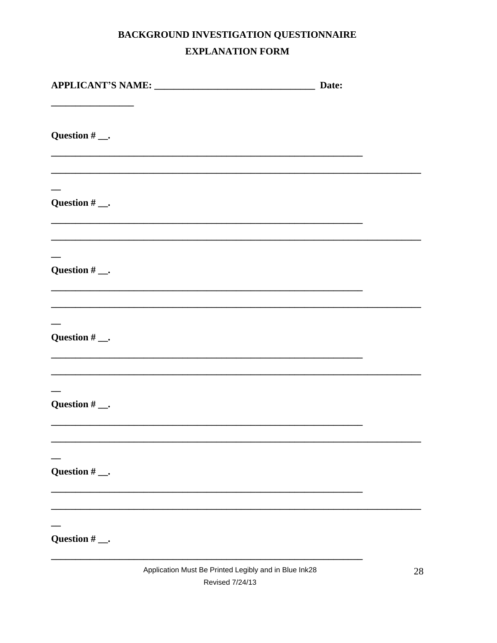# BACKGROUND INVESTIGATION QUESTIONNAIRE **EXPLANATION FORM**

| Date:             |  |
|-------------------|--|
| Question $#$ ___. |  |
| Question $#$ ___. |  |
| Question $#$ __.  |  |
| Question $#$ ___. |  |
| Question $#$ __.  |  |
| Question $#$ __.  |  |
| Question $#$ __.  |  |